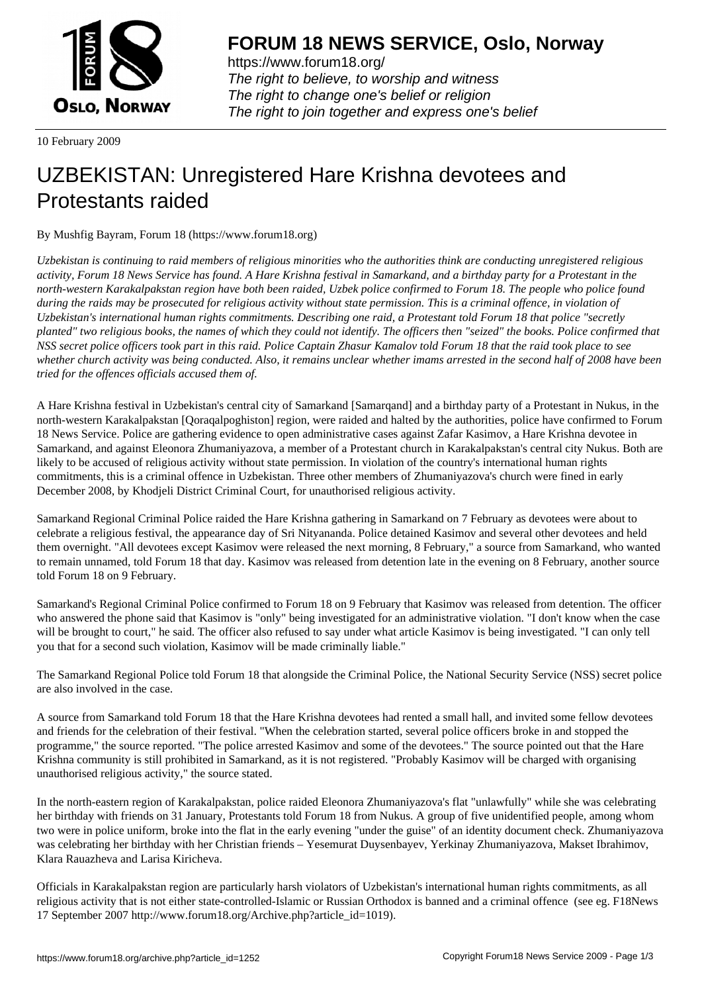

https://www.forum18.org/ The right to believe, to worship and witness The right to change one's belief or religion [The right to join together a](https://www.forum18.org/)nd express one's belief

10 February 2009

## [UZBEKISTAN:](https://www.forum18.org) Unregistered Hare Krishna devotees and Protestants raided

By Mushfig Bayram, Forum 18 (https://www.forum18.org)

*Uzbekistan is continuing to raid members of religious minorities who the authorities think are conducting unregistered religious activity, Forum 18 News Service has found. A Hare Krishna festival in Samarkand, and a birthday party for a Protestant in the north-western Karakalpakstan region have both been raided, Uzbek police confirmed to Forum 18. The people who police found during the raids may be prosecuted for religious activity without state permission. This is a criminal offence, in violation of Uzbekistan's international human rights commitments. Describing one raid, a Protestant told Forum 18 that police "secretly planted" two religious books, the names of which they could not identify. The officers then "seized" the books. Police confirmed that NSS secret police officers took part in this raid. Police Captain Zhasur Kamalov told Forum 18 that the raid took place to see whether church activity was being conducted. Also, it remains unclear whether imams arrested in the second half of 2008 have been tried for the offences officials accused them of.*

A Hare Krishna festival in Uzbekistan's central city of Samarkand [Samarqand] and a birthday party of a Protestant in Nukus, in the north-western Karakalpakstan [Qoraqalpoghiston] region, were raided and halted by the authorities, police have confirmed to Forum 18 News Service. Police are gathering evidence to open administrative cases against Zafar Kasimov, a Hare Krishna devotee in Samarkand, and against Eleonora Zhumaniyazova, a member of a Protestant church in Karakalpakstan's central city Nukus. Both are likely to be accused of religious activity without state permission. In violation of the country's international human rights commitments, this is a criminal offence in Uzbekistan. Three other members of Zhumaniyazova's church were fined in early December 2008, by Khodjeli District Criminal Court, for unauthorised religious activity.

Samarkand Regional Criminal Police raided the Hare Krishna gathering in Samarkand on 7 February as devotees were about to celebrate a religious festival, the appearance day of Sri Nityananda. Police detained Kasimov and several other devotees and held them overnight. "All devotees except Kasimov were released the next morning, 8 February," a source from Samarkand, who wanted to remain unnamed, told Forum 18 that day. Kasimov was released from detention late in the evening on 8 February, another source told Forum 18 on 9 February.

Samarkand's Regional Criminal Police confirmed to Forum 18 on 9 February that Kasimov was released from detention. The officer who answered the phone said that Kasimov is "only" being investigated for an administrative violation. "I don't know when the case will be brought to court," he said. The officer also refused to say under what article Kasimov is being investigated. "I can only tell you that for a second such violation, Kasimov will be made criminally liable."

The Samarkand Regional Police told Forum 18 that alongside the Criminal Police, the National Security Service (NSS) secret police are also involved in the case.

A source from Samarkand told Forum 18 that the Hare Krishna devotees had rented a small hall, and invited some fellow devotees and friends for the celebration of their festival. "When the celebration started, several police officers broke in and stopped the programme," the source reported. "The police arrested Kasimov and some of the devotees." The source pointed out that the Hare Krishna community is still prohibited in Samarkand, as it is not registered. "Probably Kasimov will be charged with organising unauthorised religious activity," the source stated.

In the north-eastern region of Karakalpakstan, police raided Eleonora Zhumaniyazova's flat "unlawfully" while she was celebrating her birthday with friends on 31 January, Protestants told Forum 18 from Nukus. A group of five unidentified people, among whom two were in police uniform, broke into the flat in the early evening "under the guise" of an identity document check. Zhumaniyazova was celebrating her birthday with her Christian friends – Yesemurat Duysenbayev, Yerkinay Zhumaniyazova, Makset Ibrahimov, Klara Rauazheva and Larisa Kiricheva.

Officials in Karakalpakstan region are particularly harsh violators of Uzbekistan's international human rights commitments, as all religious activity that is not either state-controlled-Islamic or Russian Orthodox is banned and a criminal offence (see eg. F18News 17 September 2007 http://www.forum18.org/Archive.php?article\_id=1019).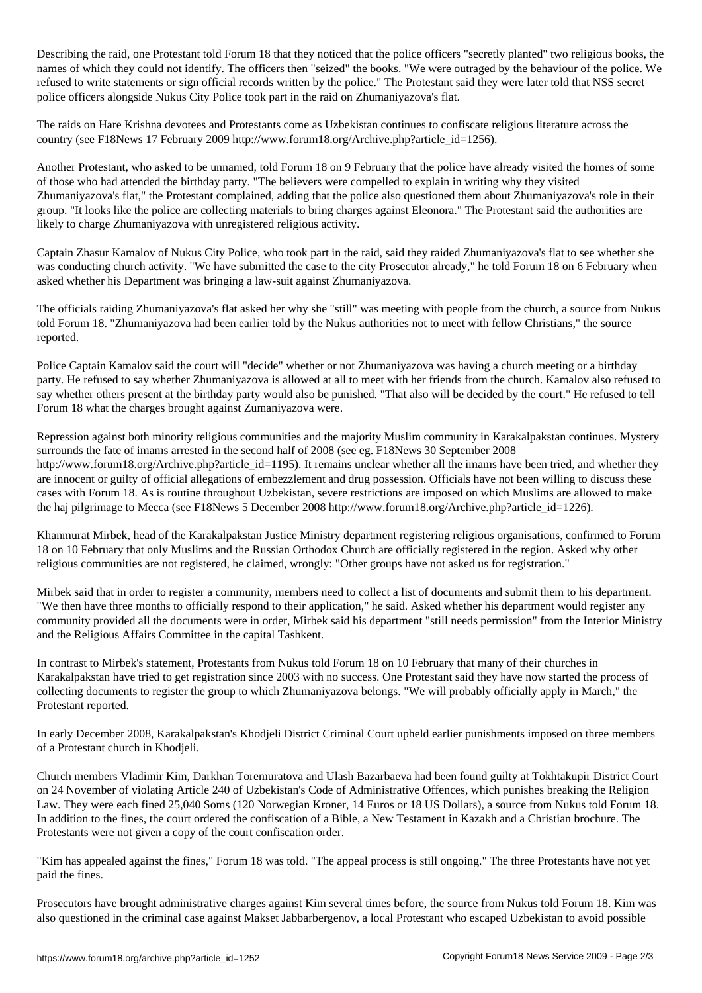Describing the raid, one Protestant told Forum 18 that they noticed that the police officers "secretly planted" two religious books, the names of which they could not identify. The officers then "seized" the books. "We were outraged by the behaviour of the police. We refused to write statements or sign official records written by the police." The Protestant said they were later told that NSS secret police officers alongside Nukus City Police took part in the raid on Zhumaniyazova's flat.

The raids on Hare Krishna devotees and Protestants come as Uzbekistan continues to confiscate religious literature across the country (see F18News 17 February 2009 http://www.forum18.org/Archive.php?article\_id=1256).

Another Protestant, who asked to be unnamed, told Forum 18 on 9 February that the police have already visited the homes of some of those who had attended the birthday party. "The believers were compelled to explain in writing why they visited Zhumaniyazova's flat," the Protestant complained, adding that the police also questioned them about Zhumaniyazova's role in their group. "It looks like the police are collecting materials to bring charges against Eleonora." The Protestant said the authorities are likely to charge Zhumaniyazova with unregistered religious activity.

Captain Zhasur Kamalov of Nukus City Police, who took part in the raid, said they raided Zhumaniyazova's flat to see whether she was conducting church activity. "We have submitted the case to the city Prosecutor already," he told Forum 18 on 6 February when asked whether his Department was bringing a law-suit against Zhumaniyazova.

The officials raiding Zhumaniyazova's flat asked her why she "still" was meeting with people from the church, a source from Nukus told Forum 18. "Zhumaniyazova had been earlier told by the Nukus authorities not to meet with fellow Christians," the source reported.

Police Captain Kamalov said the court will "decide" whether or not Zhumaniyazova was having a church meeting or a birthday party. He refused to say whether Zhumaniyazova is allowed at all to meet with her friends from the church. Kamalov also refused to say whether others present at the birthday party would also be punished. "That also will be decided by the court." He refused to tell Forum 18 what the charges brought against Zumaniyazova were.

Repression against both minority religious communities and the majority Muslim community in Karakalpakstan continues. Mystery surrounds the fate of imams arrested in the second half of 2008 (see eg. F18News 30 September 2008 http://www.forum18.org/Archive.php?article\_id=1195). It remains unclear whether all the imams have been tried, and whether they are innocent or guilty of official allegations of embezzlement and drug possession. Officials have not been willing to discuss these cases with Forum 18. As is routine throughout Uzbekistan, severe restrictions are imposed on which Muslims are allowed to make the haj pilgrimage to Mecca (see F18News 5 December 2008 http://www.forum18.org/Archive.php?article\_id=1226).

Khanmurat Mirbek, head of the Karakalpakstan Justice Ministry department registering religious organisations, confirmed to Forum 18 on 10 February that only Muslims and the Russian Orthodox Church are officially registered in the region. Asked why other religious communities are not registered, he claimed, wrongly: "Other groups have not asked us for registration."

Mirbek said that in order to register a community, members need to collect a list of documents and submit them to his department. "We then have three months to officially respond to their application," he said. Asked whether his department would register any community provided all the documents were in order, Mirbek said his department "still needs permission" from the Interior Ministry and the Religious Affairs Committee in the capital Tashkent.

In contrast to Mirbek's statement, Protestants from Nukus told Forum 18 on 10 February that many of their churches in Karakalpakstan have tried to get registration since 2003 with no success. One Protestant said they have now started the process of collecting documents to register the group to which Zhumaniyazova belongs. "We will probably officially apply in March," the Protestant reported.

In early December 2008, Karakalpakstan's Khodjeli District Criminal Court upheld earlier punishments imposed on three members of a Protestant church in Khodjeli.

Church members Vladimir Kim, Darkhan Toremuratova and Ulash Bazarbaeva had been found guilty at Tokhtakupir District Court on 24 November of violating Article 240 of Uzbekistan's Code of Administrative Offences, which punishes breaking the Religion Law. They were each fined 25,040 Soms (120 Norwegian Kroner, 14 Euros or 18 US Dollars), a source from Nukus told Forum 18. In addition to the fines, the court ordered the confiscation of a Bible, a New Testament in Kazakh and a Christian brochure. The Protestants were not given a copy of the court confiscation order.

"Kim has appealed against the fines," Forum 18 was told. "The appeal process is still ongoing." The three Protestants have not yet paid the fines.

Prosecutors have brought administrative charges against Kim several times before, the source from Nukus told Forum 18. Kim was also questioned in the criminal case against Makset Jabbarbergenov, a local Protestant who escaped Uzbekistan to avoid possible